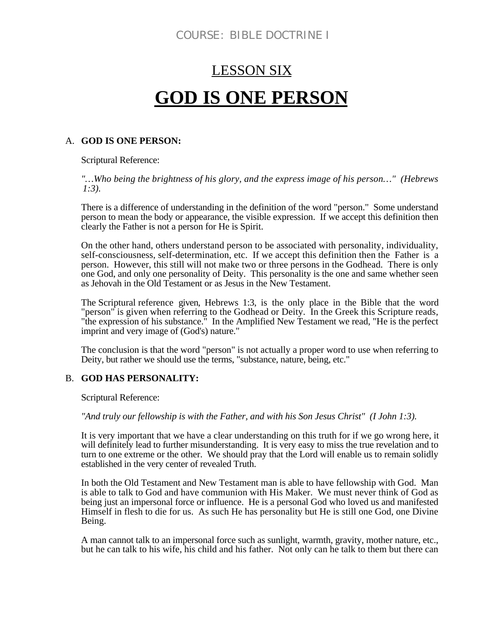# LESSON SIX **GOD IS ONE PERSON**

#### A. **GOD IS ONE PERSON:**

Scriptural Reference:

*"…Who being the brightness of his glory, and the express image of his person…" (Hebrews 1:3).*

There is a difference of understanding in the definition of the word "person." Some understand person to mean the body or appearance, the visible expression. If we accept this definition then clearly the Father is not a person for He is Spirit.

On the other hand, others understand person to be associated with personality, individuality, self-consciousness, self-determination, etc. If we accept this definition then the Father is a person. However, this still will not make two or three persons in the Godhead. There is only one God, and only one personality of Deity. This personality is the one and same whether seen as Jehovah in the Old Testament or as Jesus in the New Testament.

The Scriptural reference given, Hebrews 1:3, is the only place in the Bible that the word "person" is given when referring to the Godhead or Deity. In the Greek this Scripture reads, "the expression of his substance." In the Amplified New Testament we read, "He is the perfect imprint and very image of (God's) nature."

The conclusion is that the word "person" is not actually a proper word to use when referring to Deity, but rather we should use the terms, "substance, nature, being, etc."

### B. **GOD HAS PERSONALITY:**

Scriptural Reference:

*"And truly our fellowship is with the Father, and with his Son Jesus Christ" (I John 1:3).*

It is very important that we have a clear understanding on this truth for if we go wrong here, it will definitely lead to further misunderstanding. It is very easy to miss the true revelation and to turn to one extreme or the other. We should pray that the Lord will enable us to remain solidly established in the very center of revealed Truth.

In both the Old Testament and New Testament man is able to have fellowship with God. Man is able to talk to God and have communion with His Maker. We must never think of God as being just an impersonal force or influence. He is a personal God who loved us and manifested Himself in flesh to die for us. As such He has personality but He is still one God, one Divine Being.

A man cannot talk to an impersonal force such as sunlight, warmth, gravity, mother nature, etc., but he can talk to his wife, his child and his father. Not only can he talk to them but there can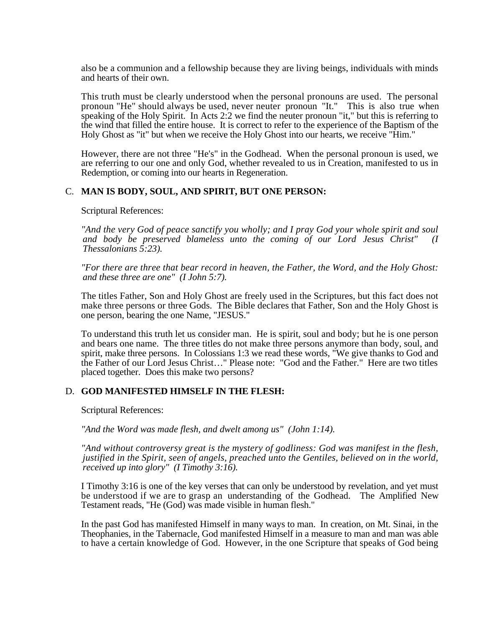also be a communion and a fellowship because they are living beings, individuals with minds and hearts of their own.

This truth must be clearly understood when the personal pronouns are used. The personal pronoun "He" should always be used, never neuter pronoun "It." This is also true when speaking of the Holy Spirit. In Acts 2:2 we find the neuter pronoun "it," but this is referring to the wind that filled the entire house. It is correct to refer to the experience of the Baptism of the Holy Ghost as "it" but when we receive the Holy Ghost into our hearts, we receive "Him."

However, there are not three "He's" in the Godhead. When the personal pronoun is used, we are referring to our one and only God, whether revealed to us in Creation, manifested to us in Redemption, or coming into our hearts in Regeneration.

#### C. **MAN IS BODY, SOUL, AND SPIRIT, BUT ONE PERSON:**

Scriptural References:

*"And the very God of peace sanctify you wholly; and I pray God your whole spirit and soul and body be preserved blameless unto the coming of our Lord Jesus Christ" (I Thessalonians 5:23).*

*"For there are three that bear record in heaven, the Father, the Word, and the Holy Ghost: and these three are one" (I John 5:7).*

The titles Father, Son and Holy Ghost are freely used in the Scriptures, but this fact does not make three persons or three Gods. The Bible declares that Father, Son and the Holy Ghost is one person, bearing the one Name, "JESUS."

To understand this truth let us consider man. He is spirit, soul and body; but he is one person and bears one name. The three titles do not make three persons anymore than body, soul, and spirit, make three persons. In Colossians 1:3 we read these words, "We give thanks to God and the Father of our Lord Jesus Christ…" Please note: "God and the Father." Here are two titles placed together. Does this make two persons?

#### D. **GOD MANIFESTED HIMSELF IN THE FLESH:**

Scriptural References:

*"And the Word was made flesh, and dwelt among us" (John 1:14).*

*"And without controversy great is the mystery of godliness: God was manifest in the flesh, justified in the Spirit, seen of angels, preached unto the Gentiles, believed on in the world, received up into glory" (I Timothy 3:16).*

I Timothy 3:16 is one of the key verses that can only be understood by revelation, and yet must be understood if we are to grasp an understanding of the Godhead. The Amplified New Testament reads, "He (God) was made visible in human flesh."

In the past God has manifested Himself in many ways to man. In creation, on Mt. Sinai, in the Theophanies, in the Tabernacle, God manifested Himself in a measure to man and man was able to have a certain knowledge of God. However, in the one Scripture that speaks of God being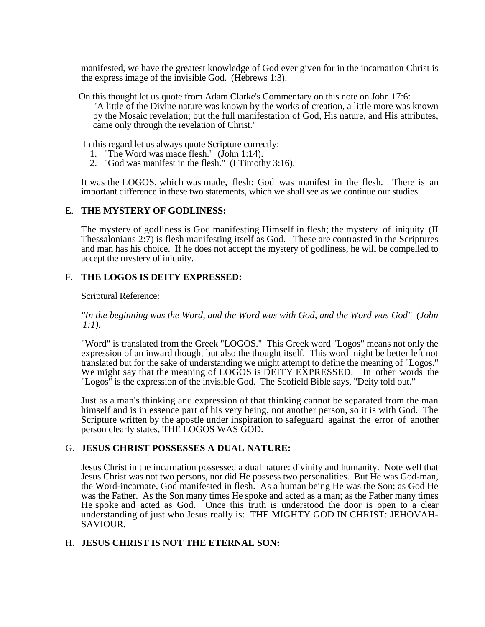manifested, we have the greatest knowledge of God ever given for in the incarnation Christ is the express image of the invisible God. (Hebrews 1:3).

On this thought let us quote from Adam Clarke's Commentary on this note on John 17:6: "A little of the Divine nature was known by the works of creation, a little more was known by the Mosaic revelation; but the full manifestation of God, His nature, and His attributes, came only through the revelation of Christ."

In this regard let us always quote Scripture correctly:

- 1. "The Word was made flesh." (John 1:14).
- 2. "God was manifest in the flesh." (I Timothy 3:16).

It was the LOGOS, which was made, flesh: God was manifest in the flesh. There is an important difference in these two statements, which we shall see as we continue our studies.

#### E. **THE MYSTERY OF GODLINESS:**

The mystery of godliness is God manifesting Himself in flesh; the mystery of iniquity (II Thessalonians 2:7) is flesh manifesting itself as God. These are contrasted in the Scriptures and man has his choice. If he does not accept the mystery of godliness, he will be compelled to accept the mystery of iniquity.

#### F. **THE LOGOS IS DEITY EXPRESSED:**

Scriptural Reference:

*"In the beginning was the Word, and the Word was with God, and the Word was God" (John 1:1).*

"Word" is translated from the Greek "LOGOS." This Greek word "Logos" means not only the expression of an inward thought but also the thought itself. This word might be better left not translated but for the sake of understanding we might attempt to define the meaning of "Logos." We might say that the meaning of LOGOS is DEITY EXPRESSED. In other words the "Logos" is the expression of the invisible God. The Scofield Bible says, "Deity told out."

Just as a man's thinking and expression of that thinking cannot be separated from the man himself and is in essence part of his very being, not another person, so it is with God. The Scripture written by the apostle under inspiration to safeguard against the error of another person clearly states, THE LOGOS WAS GOD.

#### G. **JESUS CHRIST POSSESSES A DUAL NATURE:**

Jesus Christ in the incarnation possessed a dual nature: divinity and humanity. Note well that Jesus Christ was not two persons, nor did He possess two personalities. But He was God-man, the Word-incarnate, God manifested in flesh. As a human being He was the Son; as God He was the Father. As the Son many times He spoke and acted as a man; as the Father many times He spoke and acted as God. Once this truth is understood the door is open to a clear understanding of just who Jesus really is: THE MIGHTY GOD IN CHRIST: JEHOVAH-SAVIOUR.

#### H. **JESUS CHRIST IS NOT THE ETERNAL SON:**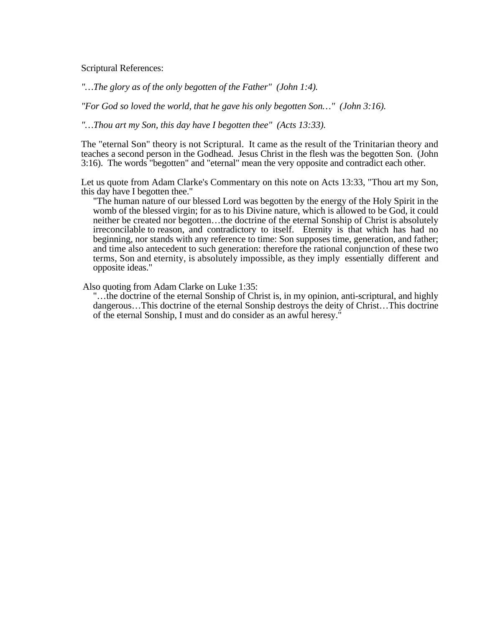Scriptural References:

*"…The glory as of the only begotten of the Father" (John 1:4).*

*"For God so loved the world, that he gave his only begotten Son…" (John 3:16).*

*"…Thou art my Son, this day have I begotten thee" (Acts 13:33).*

The "eternal Son" theory is not Scriptural. It came as the result of the Trinitarian theory and teaches a second person in the Godhead. Jesus Christ in the flesh was the begotten Son. (John 3:16). The words "begotten" and "eternal" mean the very opposite and contradict each other.

Let us quote from Adam Clarke's Commentary on this note on Acts 13:33, "Thou art my Son, this day have I begotten thee."

"The human nature of our blessed Lord was begotten by the energy of the Holy Spirit in the womb of the blessed virgin; for as to his Divine nature, which is allowed to be God, it could neither be created nor begotten…the doctrine of the eternal Sonship of Christ is absolutely irreconcilable to reason, and contradictory to itself. Eternity is that which has had no beginning, nor stands with any reference to time: Son supposes time, generation, and father; and time also antecedent to such generation: therefore the rational conjunction of these two terms, Son and eternity, is absolutely impossible, as they imply essentially different and opposite ideas."

Also quoting from Adam Clarke on Luke 1:35:

"…the doctrine of the eternal Sonship of Christ is, in my opinion, anti-scriptural, and highly dangerous…This doctrine of the eternal Sonship destroys the deity of Christ…This doctrine of the eternal Sonship, I must and do consider as an awful heresy."